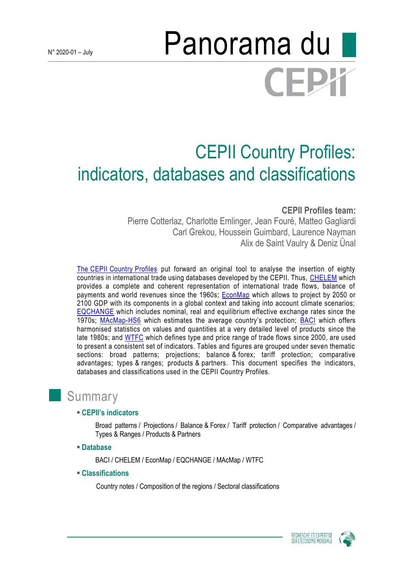# N° 2020-01-July **Panorama du CEPY**

# CEPII Country Profiles: indicators, databases and classifications

# **CEPII Profiles team:**

Pierre Cotterlaz, Charlotte Emlinger, Jean Fouré, Matteo Gagliardi Carl Grekou, Houssein Guimbard, Laurence Nayman Alix de Saint Vaulry & Deniz Ünal

The CEPII [Country](http://www.cepii.fr/CEPII/fr/bdd_modele/presentation.asp?id=30) Profiles put forward an original tool to analyse the insertion of eighty countries in international trade using databases developed by the CEPII. Thus, [CHELEM](http://www.cepii.fr/CEPII/en/bdd_modele/presentation.asp?id=17) which provides a complete and coherent representation of international trade flows, balance of payments and world revenues since the 1960s; [EconMap](http://www.cepii.fr/CEPII/en/bdd_modele/presentation.asp?id=11) which allows to project by 2050 or 2100 GDP with its components in a global context and taking into account climate scenarios; [EQCHANGE](http://www.cepii.fr/CEPII/en/bdd_modele/presentation.asp?id=34) which includes nominal, real and equilibrium effective exchange rates since the 1970s; [MAcMap-](http://www.cepii.fr/CEPII/en/bdd_modele/presentation.asp?id=12)HS6 which estimates the average country's protection; [BACI](http://www.cepii.fr/CEPII/en/bdd_modele/presentation.asp?id=1) which offers harmonised statistics on values and quantities at a very detailed level of products since the late 1980s; and [WTFC](http://www.cepii.fr/CEPII/en/bdd_modele/presentation.asp?id=29) which defines type and price range of trade flows since 2000, are used to present a consistent set of indicators. Tables and figures are grouped under seven thematic sections: broad patterns; projections; balance & forex; tariff protection; comparative advantages; types & ranges; products & partners. This document specifies the indicators, databases and classifications used in the CEPII Country Profiles.

# **Summary**

#### **CEPII's indicators**

Broad patterns / Projections / Balance & Forex / Tariff protection / Comparative advantages / Types & Ranges / Products & Partners

**Database**

BACI / CHELEM / EconMap / EQCHANGE / MAcMap / WTFC

**Classifications**

Country notes / Composition of the regions / Sectoral classifications



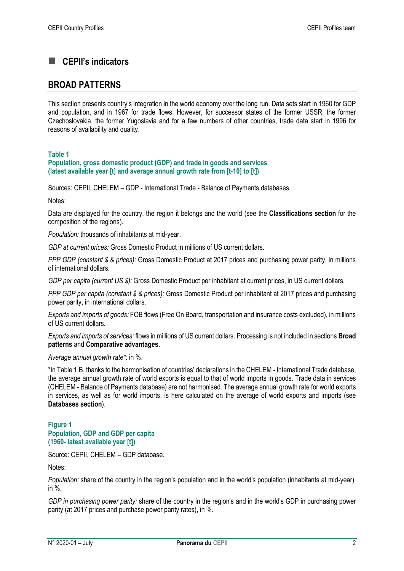# **CEPII's indicators**

# **BROAD PATTERNS**

This section presents country's integration in the world economy over the long run. Data sets start in 1960 for GDP and population, and in 1967 for trade flows. However, for successor states of the former USSR, the former Czechoslovakia, the former Yugoslavia and for a few numbers of other countries, trade data start in 1996 for reasons of availability and quality.

#### **Table 1**

**Population, gross domestic product (GDP) and trade in goods and services (latest available year [t] and average annual growth rate from [t-10] to [t])**

Sources: CEPII, CHELEM – GDP - International Trade - Balance of Payments databases.

Notes:

Data are displayed for the country, the region it belongs and the world (see the **Classifications section** for the composition of the regions).

*Population:* thousands of inhabitants at mid-year.

*GDP at current prices:* Gross Domestic Product in millions of US current dollars.

*PPP GDP (constant \$ & prices):* Gross Domestic Product at 2017 prices and purchasing power parity, in millions of international dollars.

*GDP per capita (current US \$):* Gross Domestic Product per inhabitant at current prices, in US current dollars.

*PPP GDP per capita (constant \$ & prices):* Gross Domestic Product per inhabitant at 2017 prices and purchasing power parity, in international dollars.

*Exports and imports of goods:* FOB flows (Free On Board, transportation and insurance costs excluded), in millions of US current dollars.

*Exports and imports of services:* flows in millions of US current dollars. Processing is not included in sections **Broad patterns** and **Comparative advantages**.

*Average annual growth rate\*:* in %.

\*In Table 1.B, thanks to the harmonisation of countries' declarations in the CHELEM - International Trade database, the average annual growth rate of world exports is equal to that of world imports in goods. Trade data in services (CHELEM - Balance of Payments database) are not harmonised. The average annual growth rate for world exports in services, as well as for world imports, is here calculated on the average of world exports and imports (see **Databases section**).

**Figure 1 Population, GDP and GDP per capita (1960- latest available year [t])**

Source: CEPII, CHELEM – GDP database.

Notes:

*Population:* share of the country in the region's population and in the world's population (inhabitants at mid-year), in %.

*GDP in purchasing power parity:* share of the country in the region's and in the world's GDP in purchasing power parity (at 2017 prices and purchase power parity rates), in %.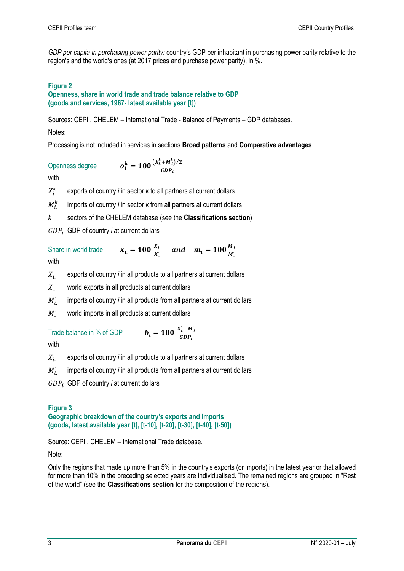*GDP per capita in purchasing power parity:* country's GDP per inhabitant in purchasing power parity relative to the region's and the world's ones (at 2017 prices and purchase power parity), in %.

#### **Figure 2**

#### **Openness, share in world trade and trade balance relative to GDP (goods and services, 1967- latest available year [t])**

Sources: CEPII, CHELEM – International Trade - Balance of Payments – GDP databases.

#### Notes:

Processing is not included in services in sections **Broad patterns** and **Comparative advantages**.

Openness degree  $\frac{k}{i} = 100 \frac{(X_i^k + M_i^k)/2}{GDR}$  $GDP<sub>i</sub>$ 

with

 $X_i^k$ exports of country *i* in sector *k* to all partners at current dollars

 $M_{i.}^{k}$ imports of country *i* in sector *k* from all partners at current dollars

*k* sectors of the CHELEM database (see the **Classifications section**)

GDP<sub>i</sub> GDP of country *i* at current dollars

Share in world trade  $x_{i.} = 100 \frac{X_{i.}}{X_{i.}}$  $\frac{X_{i}}{X_{i}}$  and  $m_{i} = 100 \frac{M_{i}}{M_{i}}$  $M_{\cdot}^{\cdot}$ 

with

 $X_i$ exports of country *i* in all products to all partners at current dollars

 $X^{\cdot}$ <sup>∙</sup> world exports in all products at current dollars

 $M_i^{\cdot}$ imports of country *i* in all products from all partners at current dollars

> $i - M_i$  $GDP_i$

 $M^{\cdot}$ world imports in all products at current dollars

# Trade balance in % of GDP

with

 $X_{i.}^{\cdot}$ exports of country *i* in all products to all partners at current dollars

 $M_i^{\cdot}$ imports of country *i* in all products from all partners at current dollars

GDP<sub>i</sub> GDP of country *i* at current dollars

#### **Figure 3 Geographic breakdown of the country's exports and imports (goods, latest available year [t], [t-10], [t-20], [t-30], [t-40], [t-50])**

Source: CEPII, CHELEM – International Trade database.

Note:

Only the regions that made up more than 5% in the country's exports (or imports) in the latest year or that allowed for more than 10% in the preceding selected years are individualised. The remained regions are grouped in "Rest of the world" (see the **Classifications section** for the composition of the regions).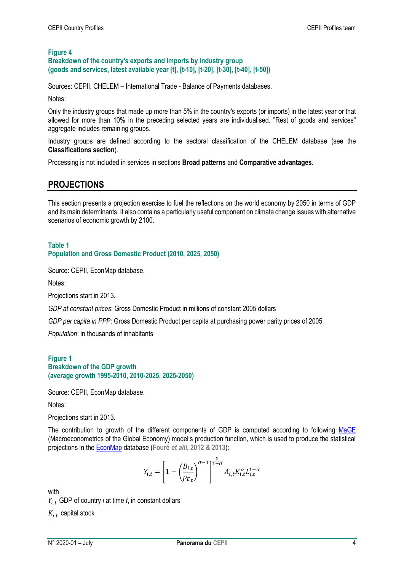#### **Figure 4 Breakdown of the country's exports and imports by industry group (goods and services, latest available year [t], [t-10], [t-20], [t-30], [t-40], [t-50])**

Sources: CEPII, CHELEM – International Trade - Balance of Payments databases.

Notes:

Only the industry groups that made up more than 5% in the country's exports (or imports) in the latest year or that allowed for more than 10% in the preceding selected years are individualised. "Rest of goods and services" aggregate includes remaining groups.

Industry groups are defined according to the sectoral classification of the CHELEM database (see the **Classifications section**).

Processing is not included in services in sections **Broad patterns** and **Comparative advantages**.

# **PROJECTIONS**

This section presents a projection exercise to fuel the reflections on the world economy by 2050 in terms of GDP and its main determinants. It also contains a particularly useful component on climate change issues with alternative scenarios of economic growth by 2100.

#### **Table 1 Population and Gross Domestic Product (2010, 2025, 2050)**

Source: CEPII, EconMap database.

Notes:

Projections start in 2013.

*GDP at constant prices*: Gross Domestic Product in millions of constant 2005 dollars

*GDP per capita in PPP*: Gross Domestic Product per capita at purchasing power parity prices of 2005

*Population*: in thousands of inhabitants

#### **Figure 1 Breakdown of the GDP growth (average growth 1995-2010, 2010-2025, 2025-2050)**

Source: CEPII, EconMap database.

Notes:

Projections start in 2013.

The contribution to growth of the different components of GDP is computed according to following [MaGE](http://www.cepii.fr/CEPII/en/bdd_modele/presentation.asp?id=13) (Macroeconometrics of the Global Economy) model's production function, which is used to produce the statistical projections in th[e EconMap](http://www.cepii.fr/CEPII/fr/bdd_modele/presentation.asp?id=11) database (**Fouré** *et alii***, 2012 & 2013**):

$$
Y_{i,t} = \left[1 - \left(\frac{B_{i,t}}{p_{E_t}}\right)^{\sigma - 1}\right]^{\frac{\sigma}{1 - \sigma}} A_{i,t} K_{i,t}^{\alpha} L_{i,t}^{1 - \alpha}
$$

with

 $Y_{i,t}$  GDP of country *i* at time *t*, in constant dollars

 $K_{i,t}$  capital stock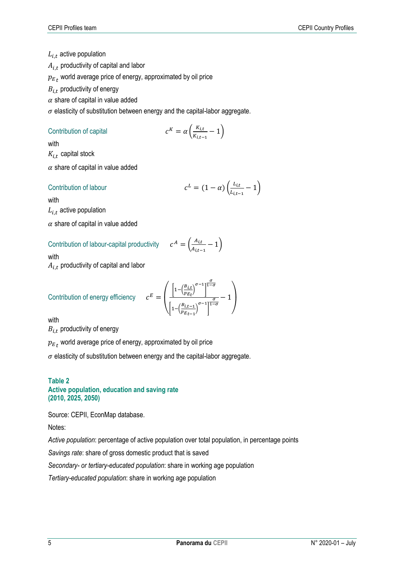# $L_{i,t}$  active population

 $A_{i,t}$  productivity of capital and labor

 $p_{{E}_{\textit{\textbf{t}}}}$  world average price of energy, approximated by oil price

 $B_{i,t}$  productivity of energy

 $\alpha$  share of capital in value added

 $\sigma$  elasticity of substitution between energy and the capital-labor aggregate.

#### Contribution of capital

$$
c^K = \alpha \left( \frac{K_{i,t}}{K_{i,t-1}} - 1 \right)
$$

with

with

 $K_{i,t}$  capital stock

 $\alpha$  share of capital in value added

#### Contribution of labour

$$
L = (1 - \alpha) \left( \frac{L_{i,t}}{L_{i,t-1}} - 1 \right)
$$

 $L_{i,t}$  active population

 $\alpha$  share of capital in value added

#### Contribution of labour-capital productivity

 $A = \left( \frac{A_{i,t}}{4} \right)$  $\frac{A_{l,t}}{A_{l,t-1}}-1\Big)$ 

with

 $A_{i,t}$  productivity of capital and labor

Continution of energy efficiency

\n
$$
c^{E} = \left( \frac{\left[1 - \left(\frac{B_{i,t}}{p_{Et}}\right)^{\sigma - 1}\right]^{\frac{\sigma}{1 - \sigma}}}{\left[1 - \left(\frac{B_{i,t-1}}{p_{Et-1}}\right)^{\sigma - 1}\right]^{\frac{\sigma}{1 - \sigma}}} - 1 \right)
$$

with

 $B_{i,t}$  productivity of energy

 $p_{{E}_{\textit{\textbf{t}}}}$  world average price of energy, approximated by oil price

 $\sigma$  elasticity of substitution between energy and the capital-labor aggregate.

#### **Table 2 Active population, education and saving rate (2010, 2025, 2050)**

Source: CEPII, EconMap database.

Notes:

*Active population*: percentage of active population over total population, in percentage points

*Savings rate*: share of gross domestic product that is saved

*Secondary- or tertiary-educated population*: share in working age population

*Tertiary-educated population*: share in working age population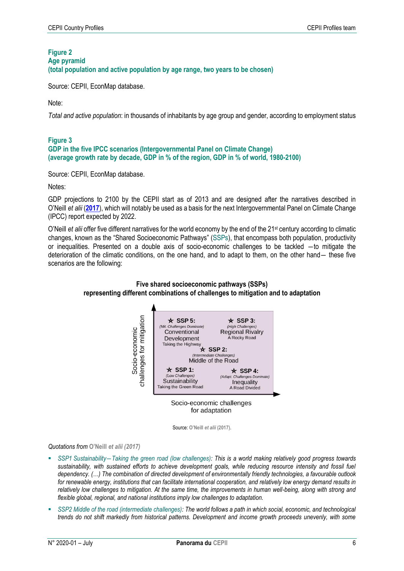# **Figure 2**

**Age pyramid** 

**(total population and active population by age range, two years to be chosen)**

Source: CEPII, EconMap database.

Note:

*Total and active population*: in thousands of inhabitants by age group and gender, according to employment status

#### **Figure 3 GDP in the five IPCC scenarios (Intergovernmental Panel on Climate Change) (average growth rate by decade, GDP in % of the region, GDP in % of world, 1980-2100)**

Source: CEPII, EconMap database.

Notes:

GDP projections to 2100 by the CEPII start as of 2013 and are designed after the narratives described in O'Neill *et alii* (**[2017](https://www.sciencedirect.com/science/article/abs/pii/S0959378015000060)**), which will notably be used as a basis for the next Intergovernmental Panel on Climate Change (IPCC) report expected by 2022.

O'Neill *et alii* offer five different narratives for the world economy by the end of the 21st century according to climatic changes, known as the "Shared Socioeconomic Pathways" (SSPs), that encompass both population, productivity or inequalities. Presented on a double axis of socio-economic challenges to be tackled ―to mitigate the deterioration of the climatic conditions, on the one hand, and to adapt to them, on the other hand― these five scenarios are the following:



#### **Five shared socioeconomic pathways (SSPs) representing different combinations of challenges to mitigation and to adaptation**

for adaptation

Source: **O'Neill** *et alii* **(2017)**.

*Quotations from* **O'Neill** *et alii (2017)*

- *SSP1 Sustainability―Taking the green road (low challenges): This is a world making relatively good progress towards sustainability, with sustained efforts to achieve development goals, while reducing resource intensity and fossil fuel dependency. (…) The combination of directed development of environmentally friendly technologies, a favourable outlook for renewable energy, institutions that can facilitate international cooperation, and relatively low energy demand results in relatively low challenges to mitigation. At the same time, the improvements in human well-being, along with strong and flexible global, regional, and national institutions imply low challenges to adaptation.*
- *SSP2 Middle of the road (intermediate challenges): The world follows a path in which social, economic, and technological trends do not shift markedly from historical patterns. Development and income growth proceeds unevenly, with some*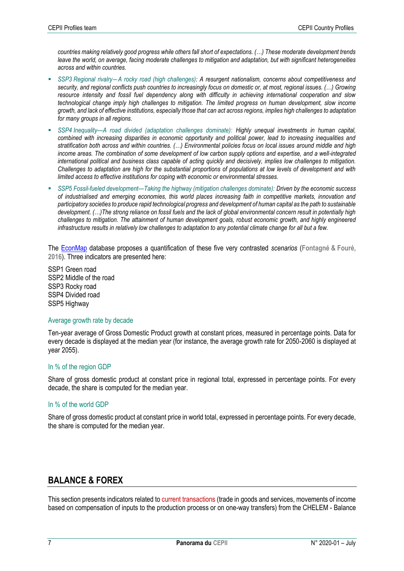*countries making relatively good progress while others fall short of expectations. (…) These moderate development trends leave the world, on average, facing moderate challenges to mitigation and adaptation, but with significant heterogeneities across and within countries.*

- *SSP3 Regional rivalry―A rocky road (high challenges): A resurgent nationalism, concerns about competitiveness and security, and regional conflicts push countries to increasingly focus on domestic or, at most, regional issues. (…) Growing resource intensity and fossil fuel dependency along with difficulty in achieving international cooperation and slow technological change imply high challenges to mitigation. The limited progress on human development, slow income growth, and lack of effective institutions, especially those that can act across regions, implies high challenges to adaptation for many groups in all regions.*
- *SSP4 Inequality—A road divided (adaptation challenges dominate): Highly unequal investments in human capital, combined with increasing disparities in economic opportunity and political power, lead to increasing inequalities and stratification both across and within countries. (…) Environmental policies focus on local issues around middle and high income areas. The combination of some development of low carbon supply options and expertise, and a well-integrated international political and business class capable of acting quickly and decisively, implies low challenges to mitigation. Challenges to adaptation are high for the substantial proportions of populations at low levels of development and with limited access to effective institutions for coping with economic or environmental stresses.*
- *SSP5 Fossil-fueled development—Taking the highway (mitigation challenges dominate): Driven by the economic success of industrialised and emerging economies, this world places increasing faith in competitive markets, innovation and participatory societies to produce rapid technological progress and development of human capital as the path to sustainable development. (…)The strong reliance on fossil fuels and the lack of global environmental concern result in potentially high challenges to mitigation. The attainment of human development goals, robust economic growth, and highly engineered infrastructure results in relatively low challenges to adaptation to any potential climate change for all but a few.*

The [EconMap](http://www.cepii.fr/CEPII/fr/bdd_modele/presentation.asp?id=11) database proposes a quantification of these five very contrasted *scenarios* (**Fontagné & Fouré, 2016**). Three indicators are presented here:

SSP1 Green road SSP2 Middle of the road SSP3 Rocky road SSP4 Divided road SSP5 Highway

#### Average growth rate by decade

Ten-year average of Gross Domestic Product growth at constant prices, measured in percentage points. Data for every decade is displayed at the median year (for instance, the average growth rate for 2050-2060 is displayed at year 2055).

#### In % of the region GDP

Share of gross domestic product at constant price in regional total, expressed in percentage points. For every decade, the share is computed for the median year.

#### In % of the world GDP

Share of gross domestic product at constant price in world total, expressed in percentage points. For every decade, the share is computed for the median year.

# **BALANCE & FOREX**

This section presents indicators related to current transactions (trade in goods and services, movements of income based on compensation of inputs to the production process or on one-way transfers) from the CHELEM - Balance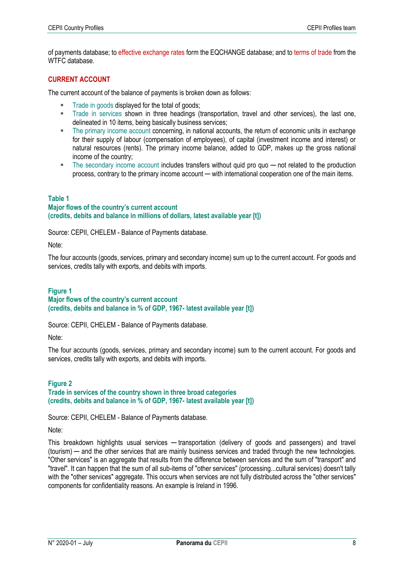of payments database; to effective exchange rates form the EQCHANGE database; and to terms of trade from the WTFC database.

#### **CURRENT ACCOUNT**

The current account of the balance of payments is broken down as follows:

- Trade in goods displayed for the total of goods;
- Trade in services shown in three headings (transportation, travel and other services), the last one, delineated in 10 items, being basically business services;
- The primary income account concerning, in national accounts, the return of economic units in exchange for their supply of labour (compensation of employees), of capital (investment income and interest) or natural resources (rents). The primary income balance, added to GDP, makes up the gross national income of the country;
- The secondary income account includes transfers without quid pro quo not related to the production process, contrary to the primary income account — with international cooperation one of the main items.

#### **Table 1**

#### **Major flows of the country's current account (credits, debits and balance in millions of dollars, latest available year [t])**

Source: CEPII, CHELEM - Balance of Payments database.

Note:

The four accounts (goods, services, primary and secondary income) sum up to the current account. For goods and services, credits tally with exports, and debits with imports.

#### **Figure 1**

#### **Major flows of the country's current account (credits, debits and balance in % of GDP, 1967- latest available year [t])**

Source: CEPII, CHELEM - Balance of Payments database.

Note:

The four accounts (goods, services, primary and secondary income) sum to the current account. For goods and services, credits tally with exports, and debits with imports.

#### **Figure 2 Trade in services of the country shown in three broad categories (credits, debits and balance in % of GDP, 1967- latest available year [t])**

Source: CEPII, CHELEM - Balance of Payments database.

Note:

This breakdown highlights usual services — transportation (delivery of goods and passengers) and travel (tourism) ─ and the other services that are mainly business services and traded through the new technologies. "Other services" is an aggregate that results from the difference between services and the sum of "transport" and "travel". It can happen that the sum of all sub-items of "other services" (processing...cultural services) doesn't tally with the "other services" aggregate. This occurs when services are not fully distributed across the "other services" components for confidentiality reasons. An example is Ireland in 1996.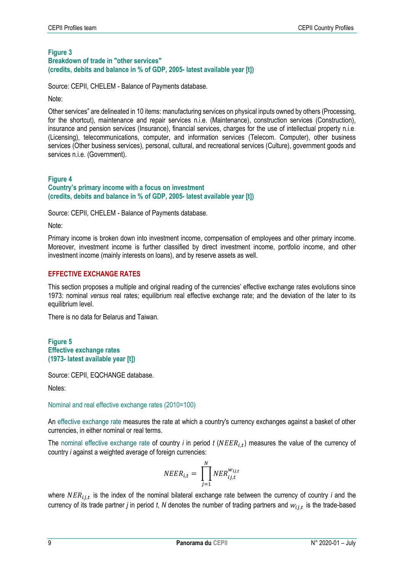#### **Figure 3 Breakdown of trade in "other services" (credits, debits and balance in % of GDP, 2005- latest available year [t])**

Source: CEPII, CHELEM - Balance of Payments database.

Note:

Other services" are delineated in 10 items: manufacturing services on physical inputs owned by others (Processing, for the shortcut), maintenance and repair services n.i.e. (Maintenance), construction services (Construction), insurance and pension services (Insurance), financial services, charges for the use of intellectual property n.i.e. (Licensing), telecommunications, computer, and information services (Telecom. Computer), other business services (Other business services), personal, cultural, and recreational services (Culture), government goods and services n.i.e. (Government).

#### **Figure 4 Country's primary income with a focus on investment (credits, debits and balance in % of GDP, 2005- latest available year [t])**

Source: CEPII, CHELEM - Balance of Payments database.

Note:

Primary income is broken down into investment income, compensation of employees and other primary income. Moreover, investment income is further classified by direct investment income, portfolio income, and other investment income (mainly interests on loans), and by reserve assets as well.

#### **EFFECTIVE EXCHANGE RATES**

This section proposes a multiple and original reading of the currencies' effective exchange rates evolutions since 1973: nominal *versus* real rates; equilibrium real effective exchange rate; and the deviation of the later to its equilibrium level.

There is no data for Belarus and Taiwan.

#### **Figure 5 Effective exchange rates (1973- latest available year [t])**

Source: CEPII, EQCHANGE database.

Notes:

#### Nominal and real effective exchange rates (2010=100)

An effective exchange rate measures the rate at which a country's currency exchanges against a basket of other currencies, in either nominal or real terms.

The nominal effective exchange rate of country *i* in period *t* (NEER<sub>i,t</sub>) measures the value of the currency of country *i* against a weighted average of foreign currencies:

$$
NEER_{i,t} = \prod_{j=1}^{N} NER_{ij,t}^{w_{ij,t}}
$$

where  $NER_{ij,t}$  is the index of the nominal bilateral exchange rate between the currency of country *i* and the currency of its trade partner *j* in period *t*, *N* denotes the number of trading partners and  $w_{ij,t}$  is the trade-based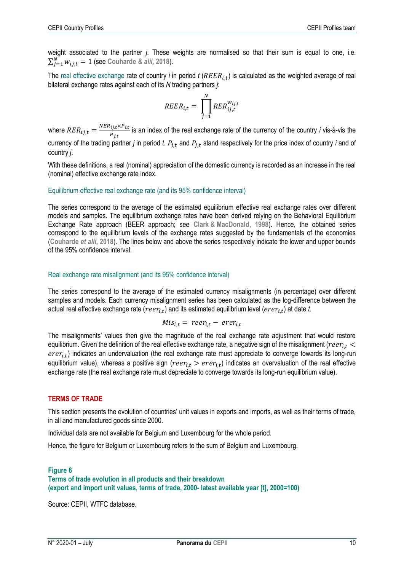weight associated to the partner *j*. These weights are normalised so that their sum is equal to one, i.e.  $\sum_{j=1}^{N} w_{ij,t} = 1$  (see Couharde *& alii,* 2018).

The real effective exchange rate of country *i* in period  $t$  ( $REER_{i,t}$ ) is calculated as the weighted average of real bilateral exchange rates against each of its *N* trading partners *j*:

$$
REER_{i,t} = \prod_{j=1}^{N} RER_{ij,t}^{w_{ij,t}}
$$

where  $RER_{ij,t} = \frac{NER_{ij,t} \times P_{i,t}}{P_{ij,t}}$  $\frac{ij, \varepsilon \wedge i \cdot \varepsilon}{P_{j,t}}$  is an index of the real exchange rate of the currency of the country *i* vis-à-vis the currency of the trading partner *j* in period *t.*  $P_{i,t}$  and  $P_{j,t}$  stand respectively for the price index of country *i* and of country *j*.

With these definitions, a real (nominal) appreciation of the domestic currency is recorded as an increase in the real (nominal) effective exchange rate index.

#### Equilibrium effective real exchange rate (and its 95% confidence interval)

The series correspond to the average of the estimated equilibrium effective real exchange rates over different models and samples. The equilibrium exchange rates have been derived relying on the Behavioral Equilibrium Exchange Rate approach (BEER approach; see **Clark & MacDonald, 1998**). Hence, the obtained series correspond to the equilibrium levels of the exchange rates suggested by the fundamentals of the economies (**Couharde** *et alii***, 2018**). The lines below and above the series respectively indicate the lower and upper bounds of the 95% confidence interval.

#### Real exchange rate misalignment (and its 95% confidence interval)

The series correspond to the average of the estimated currency misalignments (in percentage) over different samples and models. Each currency misalignment series has been calculated as the log-difference between the actual real effective exchange rate ( $reer_{i,t})$  and its estimated equilibrium level ( $erer_{i,t})$  at date *t.* 

$$
Mis_{i,t} = reer_{i,t} - erer_{i,t}
$$

The misalignments' values then give the magnitude of the real exchange rate adjustment that would restore equilibrium. Given the definition of the real effective exchange rate, a negative sign of the misalignment ( $reer_{i,t}$  <  $error_{i,t})$  indicates an undervaluation (the real exchange rate must appreciate to converge towards its long-run equilibrium value), whereas a positive sign ( $reer_{i,t} > err_{i,t}$ ) indicates an overvaluation of the real effective exchange rate (the real exchange rate must depreciate to converge towards its long-run equilibrium value).

#### **TERMS OF TRADE**

This section presents the evolution of countries' unit values in exports and imports, as well as their terms of trade, in all and manufactured goods since 2000.

Individual data are not available for Belgium and Luxembourg for the whole period.

Hence, the figure for Belgium or Luxembourg refers to the sum of Belgium and Luxembourg.

#### **Figure 6**

#### **Terms of trade evolution in all products and their breakdown (export and import unit values, terms of trade, 2000- latest available year [t], 2000=100)**

Source: CEPII, WTFC database.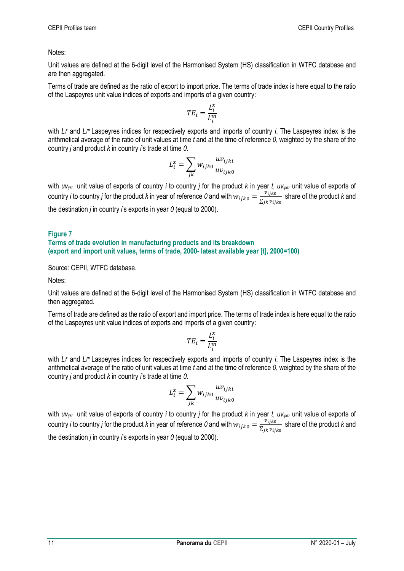Notes:

Unit values are defined at the 6-digit level of the Harmonised System (HS) classification in WTFC database and are then aggregated.

Terms of trade are defined as the ratio of export to import price. The terms of trade index is here equal to the ratio of the Laspeyres unit value indices of exports and imports of a given country:

$$
TE_i = \frac{L_i^x}{L_i^m}
$$

with  $L^x$  and  $L^m$  Laspeyres indices for respectively exports and imports of country *i*. The Laspeyres index is the arithmetical average of the ratio of unit values at time *t* and at the time of reference *0*, weighted by the share of the country *j* and product *k* in country *i*'s trade at time *0*.

$$
L_i^x = \sum_{jk} w_{ijk0} \frac{uv_{ijkt}}{uv_{ijk0}}
$$

with *uv*<sub>*ijkt*</sub> unit value of exports of country *i* to country *j* for the product *k* in year *t*, *uv*<sub>*ijk0*</sub> unit value of exports of country *i* to country *j* for the product *k* in year of reference *0* and with  $w_{ijk0} = \frac{v_{ijk0}}{\sum_{i=1}^{n} v_{ij}}$  $\frac{v_{ij}k_0}{\sum_{jk}v_{ij}k_0}$  share of the product *k* and the destination *j* in country *i*'s exports in year *0* (equal to 2000).

#### **Figure 7**

#### **Terms of trade evolution in manufacturing products and its breakdown (export and import unit values, terms of trade, 2000- latest available year [t], 2000=100)**

Source: CEPII, WTFC database.

Notes:

Unit values are defined at the 6-digit level of the Harmonised System (HS) classification in WTFC database and then aggregated.

Terms of trade are defined as the ratio of export and import price. The terms of trade index is here equal to the ratio of the Laspeyres unit value indices of exports and imports of a given country:

$$
TE_i = \frac{L_i^x}{L_i^m}
$$

with  $L^x$  and  $L^m$  Laspeyres indices for respectively exports and imports of country *i*. The Laspeyres index is the arithmetical average of the ratio of unit values at time *t* and at the time of reference *0*, weighted by the share of the country *j* and product *k* in country *i*'s trade at time *0*.

$$
L_i^x = \sum_{jk} w_{ijk0} \frac{uv_{ijkt}}{uv_{ijk0}}
$$

with *uvijkt* unit value of exports of country *i* to country *j* for the product *k* in year *t*, *uvijk0* unit value of exports of country *i* to country *j* for the product *k* in year of reference *0* and with  $w_{ijko} = \frac{v_{ijko}}{\sum_i v_{ij} w_{ij}}$  $\frac{\nu_{ijk0}}{\sum_{jk}\nu_{ijk0}}$  share of the product *k* and the destination *j* in country *i*'s exports in year *0* (equal to 2000).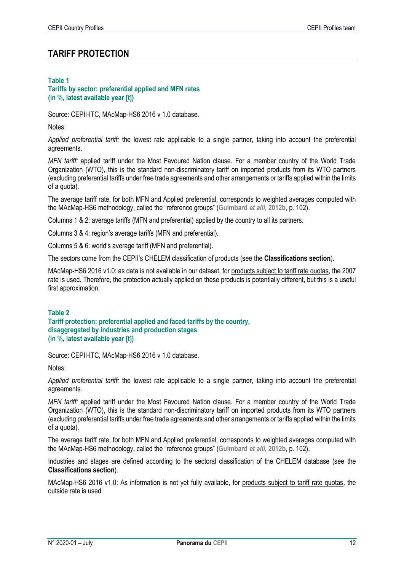# **TARIFF PROTECTION**

#### **Table 1**

#### **Tariffs by sector: preferential applied and MFN rates (in %, latest available year [t])**

Source: CEPII-ITC, MAcMap-HS6 2016 v 1.0 database.

Notes:

*Applied preferential tariff:* the lowest rate applicable to a single partner, taking into account the preferential agreements.

*MFN tariff:* applied tariff under the Most Favoured Nation clause. For a member country of the World Trade Organization (WTO), this is the standard non-discriminatory tariff on imported products from its WTO partners (excluding preferential tariffs under free trade agreements and other arrangements or tariffs applied within the limits of a quota).

The average tariff rate, for both MFN and Applied preferential, corresponds to weighted averages computed with the MAcMap-HS6 methodology, called the "reference groups" (**Guimbard** *et alii***, 2012b**, p. 102).

Columns 1 & 2: average tariffs (MFN and preferential) applied by the country to all its partners.

Columns 3 & 4: region's average tariffs (MFN and preferential).

Columns 5 & 6: world's average tariff (MFN and preferential).

The sectors come from the CEPII's CHELEM classification of products (see the **Classifications section**).

MAcMap-HS6 2016 v1.0: as data is not available in our dataset, for products subject to tariff rate quotas, the 2007 rate is used. Therefore, the protection actually applied on these products is potentially different, but this is a useful first approximation.

#### **Table 2**

**Tariff protection: preferential applied and faced tariffs by the country, disaggregated by industries and production stages (in %, latest available year [t])**

Source: CEPII-ITC, MAcMap-HS6 2016 v 1.0 database.

Notes:

*Applied preferential tariff:* the lowest rate applicable to a single partner, taking into account the preferential agreements.

*MFN tariff:* applied tariff under the Most Favoured Nation clause. For a member country of the World Trade Organization (WTO), this is the standard non-discriminatory tariff on imported products from its WTO partners (excluding preferential tariffs under free trade agreements and other arrangements or tariffs applied within the limits of a quota).

The average tariff rate, for both MFN and Applied preferential, corresponds to weighted averages computed with the MAcMap-HS6 methodology, called the "reference groups" (**Guimbard** *et alii***, 2012b**, p. 102).

Industries and stages are defined according to the sectoral classification of the CHELEM database (see the **Classifications section**).

MAcMap-HS6 2016 v1.0: As information is not yet fully available, for products subject to tariff rate quotas, the outside rate is used.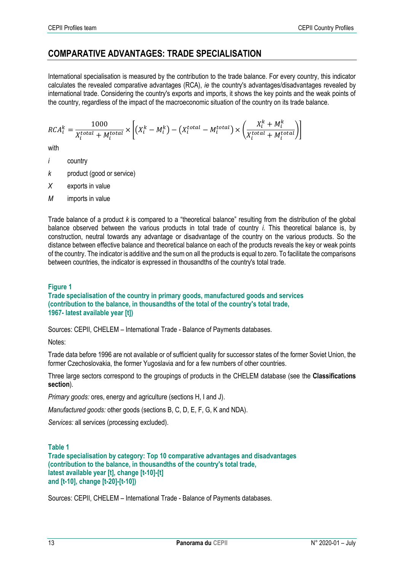# **COMPARATIVE ADVANTAGES: TRADE SPECIALISATION**

International specialisation is measured by the contribution to the trade balance. For every country, this indicator calculates the revealed comparative advantages (RCA), *ie* the country's advantages/disadvantages revealed by international trade. Considering the country's exports and imports, it shows the key points and the weak points of the country, regardless of the impact of the macroeconomic situation of the country on its trade balance.

$$
RCA_i^k = \frac{1000}{X_i^{total} + M_i^{total}} \times \left[ \left(X_i^k - M_i^k\right) - \left(X_i^{total} - M_i^{total}\right) \times \left(\frac{X_i^k + M_i^k}{X_i^{total} + M_i^{total}}\right) \right]
$$

with

- *i* country
- *k* product (good or service)
- *X* exports in value
- *M* imports in value

Trade balance of a product *k* is compared to a "theoretical balance" resulting from the distribution of the global balance observed between the various products in total trade of country *i*. This theoretical balance is, by construction, neutral towards any advantage or disadvantage of the country on the various products. So the distance between effective balance and theoretical balance on each of the products reveals the key or weak points of the country. The indicator is additive and the sum on all the products is equal to zero. To facilitate the comparisons between countries, the indicator is expressed in thousandths of the country's total trade.

#### **Figure 1**

**Trade specialisation of the country in primary goods, manufactured goods and services (contribution to the balance, in thousandths of the total of the country's total trade, 1967- latest available year [t])**

Sources: CEPII, CHELEM – International Trade - Balance of Payments databases.

Notes:

Trade data before 1996 are not available or of sufficient quality for successor states of the former Soviet Union, the former Czechoslovakia, the former Yugoslavia and for a few numbers of other countries.

Three large sectors correspond to the groupings of products in the CHELEM database (see the **Classifications section**).

*Primary goods:* ores, energy and agriculture (sections H, I and J).

*Manufactured goods:* other goods (sections B, C, D, E, F, G, K and NDA).

*Services:* all services (processing excluded).

#### **Table 1**

**Trade specialisation by category: Top 10 comparative advantages and disadvantages (contribution to the balance, in thousandths of the country's total trade, latest available year [t], change [t-10]-[t] and [t-10], change [t-20]-[t-10])**

Sources: CEPII, CHELEM – International Trade - Balance of Payments databases.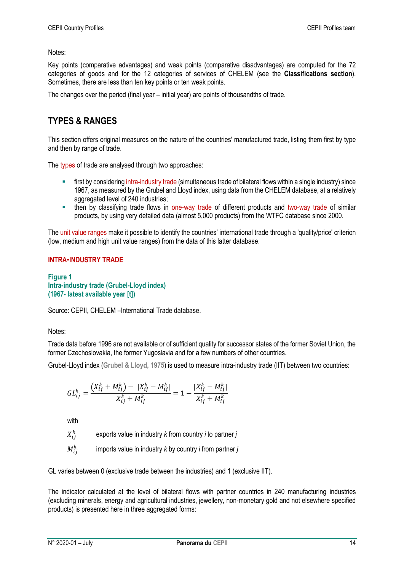Notes:

Key points (comparative advantages) and weak points (comparative disadvantages) are computed for the 72 categories of goods and for the 12 categories of services of CHELEM (see the **Classifications section**). Sometimes, there are less than ten key points or ten weak points.

The changes over the period (final year – initial year) are points of thousandths of trade.

# **TYPES & RANGES**

This section offers original measures on the nature of the countries' manufactured trade, listing them first by type and then by range of trade.

The types of trade are analysed through two approaches:

- first by considering intra-industry trade (simultaneous trade of bilateral flows within a single industry) since 1967, as measured by the Grubel and Lloyd index, using data from the CHELEM database, at a relatively aggregated level of 240 industries;
- then by classifying trade flows in one-way trade of different products and two-way trade of similar products, by using very detailed data (almost 5,000 products) from the WTFC database since 2000.

The unit value ranges make it possible to identify the countries' international trade through a 'quality/price' criterion (low, medium and high unit value ranges) from the data of this latter database.

#### **INTRA-INDUSTRY TRADE**

**Figure 1 Intra-industry trade (Grubel-Lloyd index) (1967- latest available year [t])**

Source: CEPII, CHELEM –International Trade database.

Notes:

Trade data before 1996 are not available or of sufficient quality for successor states of the former Soviet Union, the former Czechoslovakia, the former Yugoslavia and for a few numbers of other countries.

Grubel-Lloyd index (**Grubel & Lloyd, 1975**) is used to measure intra-industry trade (IIT) between two countries:

$$
GL_{ij}^k = \frac{\left(X_{ij}^k + M_{ij}^k\right) - |X_{ij}^k - M_{ij}^k|}{X_{ij}^k + M_{ij}^k} = 1 - \frac{|X_{ij}^k - M_{ij}^k|}{X_{ij}^k + M_{ij}^k}
$$

with

 $X_{ij}^k$ exports value in industry *k* from country *i* to partner *j*

 $M^k_{ij}$ imports value in industry *k* by country *i* from partner *j*

GL varies between 0 (exclusive trade between the industries) and 1 (exclusive IIT).

The indicator calculated at the level of bilateral flows with partner countries in 240 manufacturing industries (excluding minerals, energy and agricultural industries, jewellery, non-monetary gold and not elsewhere specified products) is presented here in three aggregated forms: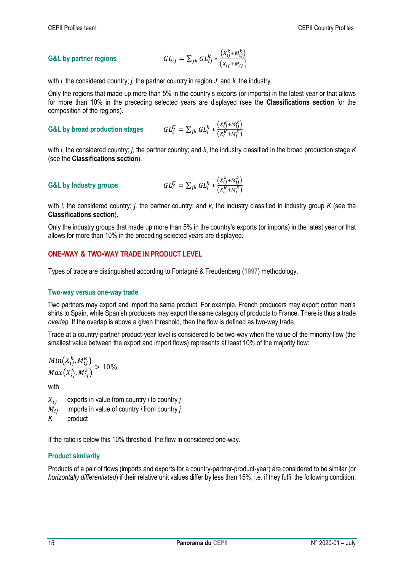**G&L by partner regions** 
$$
GL_{ij} = \sum_{jk} GL_{ij}^k * \frac{(x_{ij}^k + M_{ij}^k)}{(x_{ij} + M_{ij})}
$$

with *i*, the considered country; *i*, the partner country in region *J*; and *k*, the industry.

Only the regions that made up more than 5% in the country's exports (or imports) in the latest year or that allows for more than 10% in the preceding selected years are displayed (see the **Classifications section** for the composition of the regions).

**G&L** by broad production stages 
$$
GL_i^K = \sum_{jk} GL_i^k * \frac{(X_{ij}^k + M_{ij}^k)}{(X_i^K + M_i^K)}
$$

with *i*, the considered country; *j,* the partner country; and *k*, the industry classified in the broad production stage *K* (see the **Classifications section**).

**G&L by Industry groups** 
$$
GL_i^K = \sum_{jk} GL_i^k * \frac{(X_{ij}^k + M_{ij}^k)}{(X_i^K + M_i^K)}
$$

with *i*, the considered country; *j,* the partner country; and *k*, the industry classified in industry group *K* (see the **Classifications section**).

Only the industry groups that made up more than 5% in the country's exports (or imports) in the latest year or that allows for more than 10% in the preceding selected years are displayed.

#### **ONE-WAY & TWO-WAY TRADE IN PRODUCT LEVEL**

Types of trade are distinguished according to Fontagné & Freudenberg (**1997**) methodology.

#### **Two-way versus one-way trade**

Two partners may export and import the same product. For example, French producers may export cotton men's shirts to Spain, while Spanish producers may export the same category of products to France. There is thus a trade *overlap*. If the overlap is above a given threshold, then the flow is defined as two-way trade.

Trade at a country-partner-product-year level is considered to be two-way when the value of the minority flow (the smallest value between the export and import flows) represents at least 10% of the majority flow:

$$
\frac{Min(X_{ij}^k, M_{ij}^k)}{Max(X_{ij}^k, M_{ij}^k)} > 10\%
$$

with

- $X_{ij}$  exports in value from country *i* to country *j*
- $M_{ij}$  imports in value of country *i* from country *j*
- *K* product

If the ratio is below this 10% threshold, the flow in considered one-way.

#### **Product similarity**

Products of a pair of flows (imports and exports for a country-partner-product-year) are considered to be similar (or *horizontally differentiated*) if their relative unit values differ by less than 15%, i.e. if they fulfil the following condition: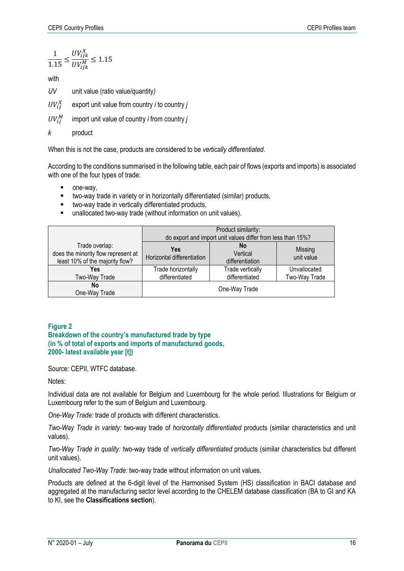$$
\frac{1}{1.15} \le \frac{UV_{ijk}^X}{UV_{ijk}^M} \le 1.15
$$

with

*UV* unit value (ratio value/quantity*)*

 $UV_{ij}^X$ export unit value from country *i* to country *j*

 $UV_{ii}^M$ import unit value of country *i* from country *j*

*k* product

When this is not the case, products are considered to be *vertically differentiated*.

According to the conditions summarised in the following table, each pair of flows (exports and imports) is associated with one of the four types of trade:

- one-way,
- two-way trade in variety or in horizontally differentiated (similar) products,
- **u** two-way trade in vertically differentiated products,
- unallocated two-way trade (without information on unit values).

|                                                                                          |                                   | Product similarity:<br>do export and import unit values differ from less than 15%? |                       |
|------------------------------------------------------------------------------------------|-----------------------------------|------------------------------------------------------------------------------------|-----------------------|
| Trade overlap:<br>does the minority flow represent at<br>least 10% of the majority flow? | Yes<br>Horizontal differentiation | No<br>Vertical<br>differentiation                                                  | Missing<br>unit value |
| Yes                                                                                      | Trade horizontally                | Trade vertically                                                                   | Unvallocated          |
| Two-Way Trade                                                                            | differentiated                    | differentiated                                                                     | Two-Way Trade         |
| No<br>One-Way Trade                                                                      |                                   | One-Way Trade                                                                      |                       |

#### **Figure 2**

**Breakdown of the country's manufactured trade by type (in % of total of exports and imports of manufactured goods, 2000- latest available year [t])**

Source: CEPII, WTFC database.

Notes:

Individual data are not available for Belgium and Luxembourg for the whole period. Illustrations for Belgium or Luxembourg refer to the sum of Belgium and Luxembourg.

*One-Way Trade:* trade of products with different characteristics.

*Two-Way Trade in variety:* two-way trade of *horizontally differentiated* products (similar characteristics and unit values).

*Two-Way Trade in quality:* two-way trade of *vertically differentiated* products (similar characteristics but different unit values).

*Unallocated Two-Way Trade:* two-way trade without information on unit values.

Products are defined at the 6-digit level of the Harmonised System (HS) classification in BACI database and aggregated at the manufacturing sector level according to the CHELEM database classification (BA to GI and KA to KI, see the **Classifications section**).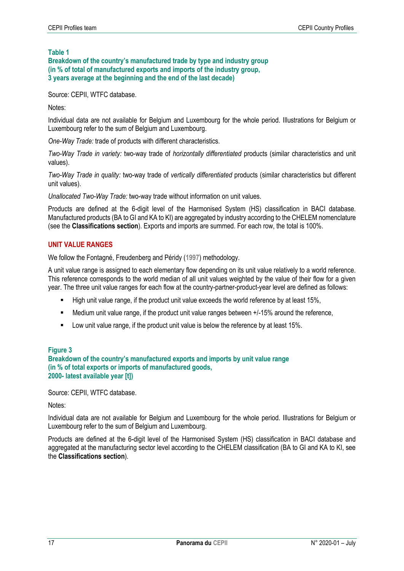**Table 1**

**Breakdown of the country's manufactured trade by type and industry group (in % of total of manufactured exports and imports of the industry group, 3 years average at the beginning and the end of the last decade)**

Source: CEPII, WTFC database.

Notes:

Individual data are not available for Belgium and Luxembourg for the whole period. Illustrations for Belgium or Luxembourg refer to the sum of Belgium and Luxembourg.

*One-Way Trade:* trade of products with different characteristics.

*Two-Way Trade in variety:* two-way trade of *horizontally differentiated* products (similar characteristics and unit values).

*Two-Way Trade in quality:* two-way trade of *vertically differentiated* products (similar characteristics but different unit values).

*Unallocated Two-Way Trade:* two-way trade without information on unit values.

Products are defined at the 6-digit level of the Harmonised System (HS) classification in BACI database. Manufactured products (BA to GI and KA to KI) are aggregated by industry according to the CHELEM nomenclature (see the **Classifications section**). Exports and imports are summed. For each row, the total is 100%.

#### **UNIT VALUE RANGES**

We follow the Fontagné, Freudenberg and Péridy (**1997**) methodology.

A unit value range is assigned to each elementary flow depending on its unit value relatively to a world reference. This reference corresponds to the world median of all unit values weighted by the value of their flow for a given year. The three unit value ranges for each flow at the country-partner-product-year level are defined as follows:

- High unit value range, if the product unit value exceeds the world reference by at least 15%,
- Medium unit value range, if the product unit value ranges between +/-15% around the reference,
- Low unit value range, if the product unit value is below the reference by at least 15%.

#### **Figure 3**

**Breakdown of the country's manufactured exports and imports by unit value range (in % of total exports or imports of manufactured goods, 2000- latest available year [t])**

Source: CEPII, WTFC database.

Notes:

Individual data are not available for Belgium and Luxembourg for the whole period. Illustrations for Belgium or Luxembourg refer to the sum of Belgium and Luxembourg.

Products are defined at the 6-digit level of the Harmonised System (HS) classification in BACI database and aggregated at the manufacturing sector level according to the CHELEM classification (BA to GI and KA to KI, see the **Classifications section**).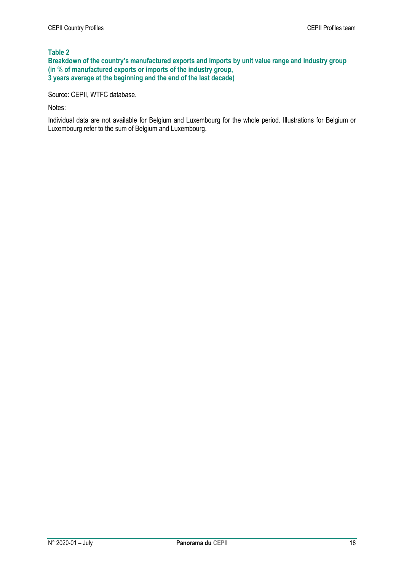#### **Table 2**

**Breakdown of the country's manufactured exports and imports by unit value range and industry group (in % of manufactured exports or imports of the industry group, 3 years average at the beginning and the end of the last decade)**

Source: CEPII, WTFC database.

Notes:

Individual data are not available for Belgium and Luxembourg for the whole period. Illustrations for Belgium or Luxembourg refer to the sum of Belgium and Luxembourg.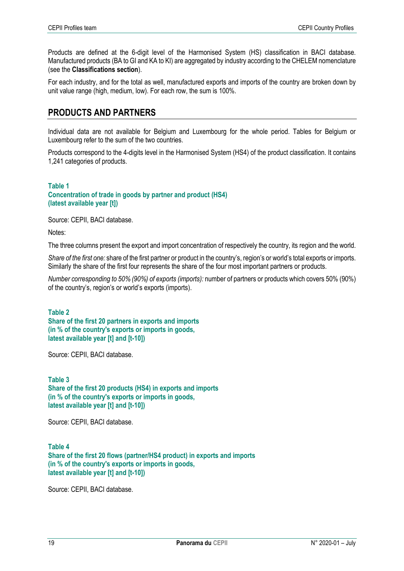Products are defined at the 6-digit level of the Harmonised System (HS) classification in BACI database. Manufactured products (BA to GI and KA to KI) are aggregated by industry according to the CHELEM nomenclature (see the **Classifications section**).

For each industry, and for the total as well, manufactured exports and imports of the country are broken down by unit value range (high, medium, low). For each row, the sum is 100%.

# **PRODUCTS AND PARTNERS**

Individual data are not available for Belgium and Luxembourg for the whole period. Tables for Belgium or Luxembourg refer to the sum of the two countries.

Products correspond to the 4-digits level in the Harmonised System (HS4) of the product classification. It contains 1,241 categories of products.

#### **Table 1 Concentration of trade in goods by partner and product (HS4) (latest available year [t])**

Source: CEPII, BACI database.

Notes:

The three columns present the export and import concentration of respectively the country, its region and the world.

*Share of the first one:* share of the first partner or product in the country's, region's or world's total exports or imports. Similarly the share of the first four represents the share of the four most important partners or products.

*Number corresponding to 50% (90%) of exports (imports):* number of partners or products which covers 50% (90%) of the country's, region's or world's exports (imports).

#### **Table 2 Share of the first 20 partners in exports and imports (in % of the country's exports or imports in goods, latest available year [t] and [t-10])**

Source: CEPII, BACI database.

**Table 3 Share of the first 20 products (HS4) in exports and imports (in % of the country's exports or imports in goods, latest available year [t] and [t-10])**

Source: CEPII, BACI database.

**Table 4 Share of the first 20 flows (partner/HS4 product) in exports and imports (in % of the country's exports or imports in goods, latest available year [t] and [t-10])**

Source: CEPII, BACI database.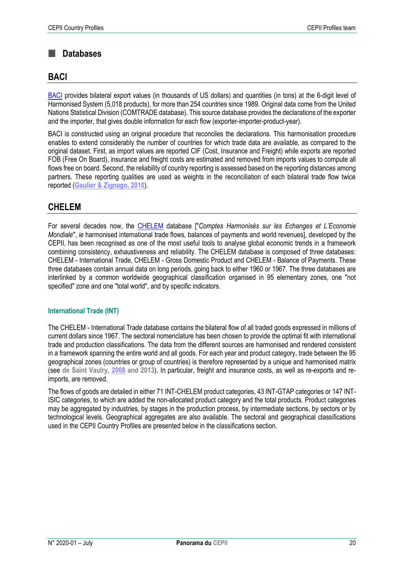#### **Databases**  $\blacksquare$

## **BACI**

[BACI](http://www.cepii.fr/CEPII/en/bdd_modele/presentation.asp?id=1) provides bilateral export values (in thousands of US dollars) and quantities (in tons) at the 6-digit level of Harmonised System (5,018 products), for more than 254 countries since 1989. Original data come from the United Nations Statistical Division (COMTRADE database). This source database provides the declarations of the exporter and the importer, that gives double information for each flow (exporter-importer-product-year).

BACI is constructed using an original procedure that reconciles the declarations. This harmonisation procedure enables to extend considerably the number of countries for which trade data are available, as compared to the original dataset. First, as import values are reported CIF (Cost, Insurance and Freight) while exports are reported FOB (Free On Board), insurance and freight costs are estimated and removed from imports values to compute all flows free on board. Second, the reliability of country reporting is assessed based on the reporting distances among partners. These reporting qualities are used as weights in the reconciliation of each bilateral trade flow twice reported (**Gaulier & [Zignago, 2010](http://www.cepii.fr/PDF_PUB/wp/2010/wp2010-23.pdf)**).

# **CHELEM**

For several decades now, the [CHELEM](http://www.cepii.fr/CEPII/en/bdd_modele/presentation.asp?id=17) database ["*Comptes Harmonisés sur les Echanges et L'Economie Mondiale*", *ie* harmonised international trade flows, balances of payments and world revenues], developed by the CEPII, has been recognised as one of the most useful tools to analyse global economic trends in a framework combining consistency, exhaustiveness and reliability. The CHELEM database is composed of three databases: CHELEM - International Trade, CHELEM - Gross Domestic Product and CHELEM - Balance of Payments. These three databases contain annual data on long periods, going back to either 1960 or 1967. The three databases are interlinked by a common worldwide geographical classification organised in 95 elementary zones, one "not specified" zone and one "total world", and by specific indicators.

#### **International Trade (INT)**

The CHELEM - International Trade database contains the bilateral flow of all traded goods expressed in millions of current dollars since 1967. The sectoral nomenclature has been chosen to provide the optimal fit with international trade and production classifications. The data from the different sources are harmonised and rendered consistent in a framework spanning the entire world and all goods. For each year and product category, trade between the 95 geographical zones (countries or group of countries) is therefore represented by a unique and harmonised matrix (see **de Saint Vaulry, [2008](http://www.cepii.fr/PDF_PUB/wp/2008/wp2008-09.pdf) and 2013**). In particular, freight and insurance costs, as well as re-exports and reimports, are removed.

The flows of goods are detailed in either 71 INT-CHELEM product categories, 43 INT-GTAP categories or 147 INT-ISIC categories, to which are added the non-allocated product category and the total products. Product categories may be aggregated by industries, by stages in the production process, by intermediate sections, by sectors or by technological levels. Geographical aggregates are also available. The sectoral and geographical classifications used in the CEPII Country Profiles are presented below in the classifications section.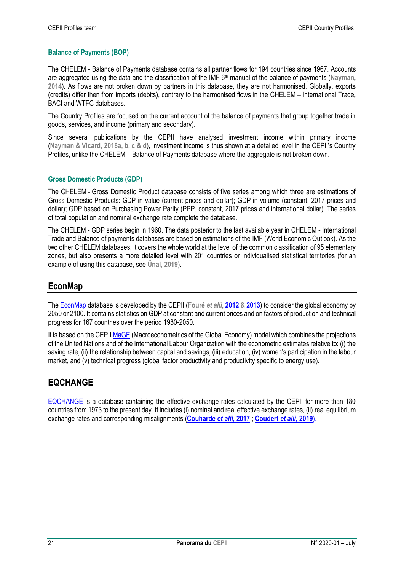#### **Balance of Payments (BOP)**

The CHELEM - Balance of Payments database contains all partner flows for 194 countries since 1967. Accounts are aggregated using the data and the classification of the IMF 6th manual of the balance of payments (**Nayman, 2014**). As flows are not broken down by partners in this database, they are not harmonised. Globally, exports (credits) differ then from imports (debits), contrary to the harmonised flows in the CHELEM – International Trade, BACI and WTFC databases.

The Country Profiles are focused on the current account of the balance of payments that group together trade in goods, services, and income (primary and secondary).

Since several publications by the CEPII have analysed investment income within primary income (**Nayman & Vicard, 2018a, b, c & d**), investment income is thus shown at a detailed level in the CEPII's Country Profiles, unlike the CHELEM – Balance of Payments database where the aggregate is not broken down.

#### **Gross Domestic Products (GDP)**

The CHELEM - Gross Domestic Product database consists of five series among which three are estimations of Gross Domestic Products: GDP in value (current prices and dollar); GDP in volume (constant, 2017 prices and dollar); GDP based on Purchasing Power Parity (PPP, constant, 2017 prices and international dollar). The series of total population and nominal exchange rate complete the database.

The CHELEM - GDP series begin in 1960. The data posterior to the last available year in CHELEM - International Trade and Balance of payments databases are based on estimations of the IMF (World Economic Outlook). As the two other CHELEM databases, it covers the whole world at the level of the common classification of 95 elementary zones, but also presents a more detailed level with 201 countries or individualised statistical territories (for an example of using this database, see **Ünal, 2019**).

# **EconMap**

Th[e EconMap](http://www.cepii.fr/CEPII/fr/bdd_modele/presentation.asp?id=11) database is developed by the CEPII (**Fouré** *et alii*, **[2012](http://www.cepii.fr/CEPII/en/publications/wp/abstract.asp?NoDoc=4179) & [2013](https://onlinelibrary.wiley.com/doi/abs/10.1111/ecot.12023)**) to consider the global economy by 2050 or 2100. It contains statistics on GDP at constant and current prices and on factors of production and technical progress for 167 countries over the period 1980-2050.

It is based on the CEPI[I MaGE](http://www.cepii.fr/CEPII/fr/bdd_modele/presentation.asp?id=13) (Macroeconometrics of the Global Economy) model which combines the projections of the United Nations and of the International Labour Organization with the econometric estimates relative to: (i) the saving rate, (ii) the relationship between capital and savings, (iii) education, (iv) women's participation in the labour market, and (v) technical progress (global factor productivity and productivity specific to energy use).

# **EQCHANGE**

[EQCHANGE](http://www.cepii.fr/CEPII/fr/bdd_modele/presentation.asp?id=34) is a database containing the effective exchange rates calculated by the CEPII for more than 180 countries from 1973 to the present day. It includes (i) nominal and real effective exchange rates, (ii) real equilibrium exchange rates and corresponding misalignments (**[Couharde](http://www.cepii.fr/PDF_PUB/wp/2017/wp2017-14.pdf)** *et alii***, 2017** ; **[Coudert](http://www.cepii.fr/PDF_PUB/wp/2019/wp2019-05.pdf)** *et alii***, 2019**).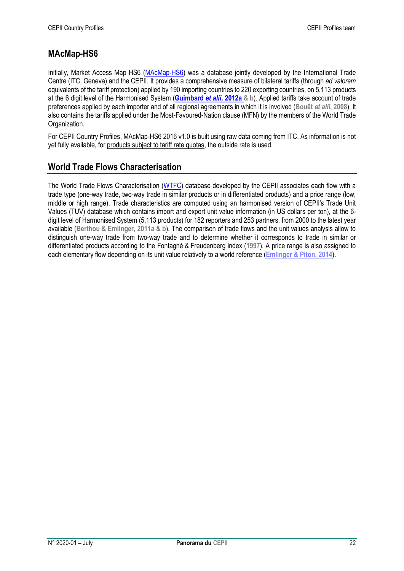# **MAcMap-HS6**

Initially, Market Access Map HS6 [\(MAcMap-](http://www.cepii.fr/CEPII/en/bdd_modele/presentation.asp?id=12)HS6) was a database jointly developed by the International Trade Centre (ITC, Geneva) and the CEPII. It provides a comprehensive measure of bilateral tariffs (through *ad valorem* equivalents of the tariff protection) applied by 190 importing countries to 220 exporting countries, on 5,113 products at the 6 digit level of the Harmonised System (**[Guimbard](http://www.cepii.fr/PDF_PUB/wp/2012/wp2012-10.pdf)** *et alii***, 2012a & b**). Applied tariffs take account of trade preferences applied by each importer and of all regional agreements in which it is involved (**Bouët** *et alii***, 2008**). It also contains the tariffs applied under the Most-Favoured-Nation clause (MFN) by the members of the World Trade Organization.

For CEPII Country Profiles, MAcMap-HS6 2016 v1.0 is built using raw data coming from ITC. As information is not yet fully available, for products subject to tariff rate quotas, the outside rate is used.

# **World Trade Flows Characterisation**

The World Trade Flows Characterisation [\(WTFC\)](http://www.cepii.fr/CEPII/en/bdd_modele/presentation.asp?id=29) database developed by the CEPII associates each flow with a trade type (one-way trade, two-way trade in similar products or in differentiated products) and a price range (low, middle or high range). Trade characteristics are computed using an harmonised version of CEPII's Trade Unit Values (TUV) database which contains import and export unit value information (in US dollars per ton), at the 6 digit level of Harmonised System (5,113 products) for 182 reporters and 253 partners, from 2000 to the latest year available (**Berthou & Emlinger, 2011a & b**). The comparison of trade flows and the unit values analysis allow to distinguish one-way trade from two-way trade and to determine whether it corresponds to trade in similar or differentiated products according to the Fontagné & Freudenberg index (**1997**). A price range is also assigned to each elementary flow depending on its unit value relatively to a world reference (**Emlinger & [Piton, 2014](http://www.cepii.fr/PDF_PUB/wp/2014/wp2014-26.pdf)**).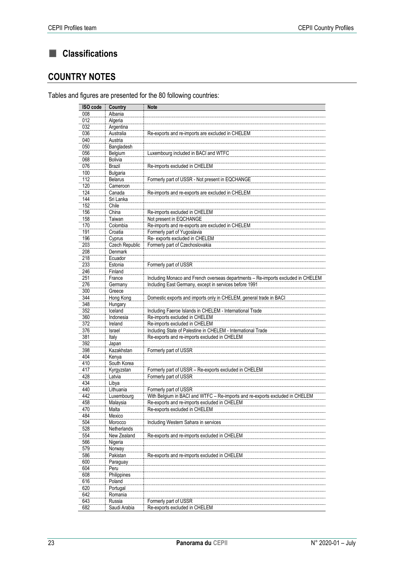#### CEPII Profiles team CEPII Country Profiles

# **Classifications**

# **COUNTRY NOTES**

Tables and figures are presented for the 80 following countries:

| ISO code | Country        | <b>Note</b>                                                                      |
|----------|----------------|----------------------------------------------------------------------------------|
| 008      | Albania        |                                                                                  |
| 012      | Algeria        |                                                                                  |
| 032      | Argentina      |                                                                                  |
| 036      | Australia      | Re-exports and re-imports are excluded in CHELEM                                 |
| 040      | Austria        |                                                                                  |
| 050      | Bangladesh     |                                                                                  |
| 056      | Belgium        | Luxembourg included in BACI and WTFC                                             |
| 068      | Bolivia        |                                                                                  |
| 076      | <b>Brazil</b>  | Re-imports excluded in CHELEM                                                    |
| 100      | Bulgaria       |                                                                                  |
| 112      | <b>Belarus</b> | Formerly part of USSR - Not present in EQCHANGE                                  |
| 120      | Cameroon       |                                                                                  |
| 124      | Canada         | Re-imports and re-exports are excluded in CHELEM                                 |
| 144      | Sri Lanka      |                                                                                  |
| 152      | Chile          |                                                                                  |
| 156      | China          | Re-imports excluded in CHELEM                                                    |
| 158      | Taiwan         | Not present in EQCHANGE                                                          |
| 170      | Colombia       | Re-imports and re-exports are excluded in CHELEM                                 |
| 191      | Croatia        | Formerly part of Yugoslavia                                                      |
| 196      | Cyprus         | Re- exports excluded in CHELEM                                                   |
| 203      | Czech Republic | Formerly part of Czechoslovakia                                                  |
| 208      | <b>Denmark</b> |                                                                                  |
| 218      | Ecuador        |                                                                                  |
| 233      | Estonia        | Formerly part of USSR                                                            |
| 246      | Finland        |                                                                                  |
| 251      | France         | Including Monaco and French overseas departments - Re-imports excluded in CHELEM |
| 276      | Germany        | Including East Germany, except in services before 1991                           |
| 300      | Greece         |                                                                                  |
| 344      | Hong Kong      | Domestic exports and imports only in CHELEM, general trade in BACI               |
| 348      | Hungary        |                                                                                  |
| 352      | Iceland        | Including Faeroe Islands in CHELEM - International Trade                         |
| 360      | Indonesia      | Re-imports excluded in CHELEM                                                    |
| 372      | Ireland        | Re-imports excluded in CHELEM                                                    |
| 376      | Israel         | Including State of Palestine in CHELEM - International Trade                     |
| 381      | Italy          | Re-exports and re-imports excluded in CHELEM                                     |
| 392      | Japan          |                                                                                  |
| 398      | Kazakhstan     | Formerly part of USSR                                                            |
| 404      | Kenya          |                                                                                  |
| 410      | South Korea    |                                                                                  |
| 417      | Kyrgyzstan     | Formerly part of USSR - Re-exports excluded in CHELEM                            |
| 428      | Latvia         | Formerly part of USSR                                                            |
| 434      | Libya          |                                                                                  |
| 440      | Lithuania      | Formerly part of USSR                                                            |
| 442      | Luxembourg     | With Belgium in BACI and WTFC - Re-imports and re-exports excluded in CHELEM     |
| 458      | Malaysia       | Re-exports and re-imports excluded in CHELEM                                     |
| 470      | Malta          | Re-exports excluded in CHELEM                                                    |
| 484      | Mexico         |                                                                                  |
| 504      | Morocco        | Including Western Sahara in services                                             |
| 528      | Netherlands    |                                                                                  |
| 554      | New Zealand    | Re-exports and re-imports excluded in CHELEM                                     |
| 566      | Nigeria        |                                                                                  |
| 579      | Norway         |                                                                                  |
| 586      | Pakistan       | Re-exports and re-imports excluded in CHELEM                                     |
| 600      | Paraguay       |                                                                                  |
| 604      | Peru           |                                                                                  |
| 608      | Philippines    |                                                                                  |
| 616      | Poland         |                                                                                  |
| 620      | Portugal       |                                                                                  |
| 642      | Romania        |                                                                                  |
| 643      | Russia         | Formerly part of USSR                                                            |
| 682      | Saudi Arabia   | Re-exports excluded in CHELEM                                                    |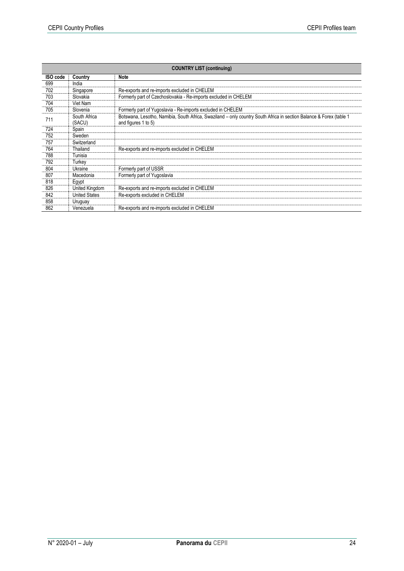| <b>COUNTRY LIST (continuing)</b> |                        |                                                                                                                                            |
|----------------------------------|------------------------|--------------------------------------------------------------------------------------------------------------------------------------------|
| ISO code                         | Country                | <b>Note</b>                                                                                                                                |
| 699                              | India                  |                                                                                                                                            |
| 702                              | Singapore              | Re-exports and re-imports excluded in CHELEM                                                                                               |
| 703                              | Slovakia               | Formerly part of Czechoslovakia - Re-imports excluded in CHELEM                                                                            |
| 704                              | Viet Nam               |                                                                                                                                            |
| 705                              | Slovenia               | Formerly part of Yugoslavia - Re-imports excluded in CHELEM                                                                                |
| 711                              | South Africa<br>(SACU) | Botswana, Lesotho, Namibia, South Africa, Swaziland – only country South Africa in section Balance & Forex (table 1<br>and figures 1 to 5) |
| 724                              | Spain                  |                                                                                                                                            |
| 752                              | Sweden                 |                                                                                                                                            |
| 757                              | Switzerland            |                                                                                                                                            |
| 764                              | Thailand               | Re-exports and re-imports excluded in CHELEM                                                                                               |
| 788                              | Tunisia                |                                                                                                                                            |
| 792                              | Turkey                 |                                                                                                                                            |
| 804                              | Ukraine                | Formerly part of USSR                                                                                                                      |
| 807                              | Macedonia              | Formerly part of Yugoslavia                                                                                                                |
| 818                              | Egypt                  |                                                                                                                                            |
| 826                              | United Kingdom         | Re-exports and re-imports excluded in CHELEM                                                                                               |
| 842                              | <b>United States</b>   | Re-exports excluded in CHELEM                                                                                                              |
| 858                              | Uruguay                |                                                                                                                                            |
| 862                              | Venezuela              | Re-exports and re-imports excluded in CHELEM                                                                                               |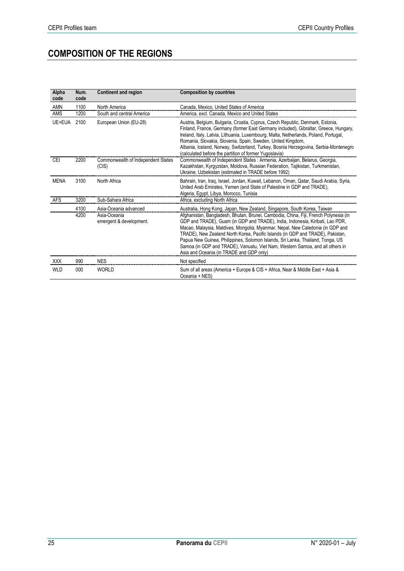# **COMPOSITION OF THE REGIONS**

| Alpha<br>code | Num.<br>code | <b>Continent and region</b>                                      | <b>Composition by countries</b>                                                                                                                                                                                                                                                                                                                                                                                                                                                                                                                                                                                                      |
|---------------|--------------|------------------------------------------------------------------|--------------------------------------------------------------------------------------------------------------------------------------------------------------------------------------------------------------------------------------------------------------------------------------------------------------------------------------------------------------------------------------------------------------------------------------------------------------------------------------------------------------------------------------------------------------------------------------------------------------------------------------|
| <b>AMN</b>    | 1100         | North America                                                    | Canada, Mexico, United States of America                                                                                                                                                                                                                                                                                                                                                                                                                                                                                                                                                                                             |
| <b>AMS</b>    | 1200         | South and central America                                        | America, excl. Canada, Mexico and United States                                                                                                                                                                                                                                                                                                                                                                                                                                                                                                                                                                                      |
| UE+EUA        | 2100         | European Union (EU-28)                                           | Austria, Belgium, Bulgaria, Croatia, Cyprus, Czech Republic, Denmark, Estonia,<br>Finland, France, Germany (former East Germany included), Gibraltar, Greece, Hungary,<br>Ireland, Italy, Latvia, Lithuania, Luxembourg, Malta, Netherlands, Poland, Portugal,<br>Romania, Slovakia, Slovenia, Spain, Sweden, United Kingdom,<br>Albania, Iceland, Norway, Switzerland, Turkey, Bosnia Herzegovina, Serbia-Montenegro<br>(calculated before the partition of former Yugoslavia)                                                                                                                                                      |
| <b>CEI</b>    | 2200         | Commonwealth of Independent States<br>(CIS)                      | Commonwealth of Independent States: Armenia, Azerbaijan, Belarus, Georgia,<br>Kazakhstan, Kyrgyzstan, Moldova, Russian Federation, Tajikistan, Turkmenistan,<br>Ukraine, Uzbekistan (estimated in TRADE before 1992)                                                                                                                                                                                                                                                                                                                                                                                                                 |
| <b>MENA</b>   | 3100         | North Africa                                                     | Bahrain, Iran, Iraq, Israel, Jordan, Kuwait, Lebanon, Oman, Qatar, Saudi Arabia, Syria,<br>United Arab Emirates, Yemen (and State of Palestine in GDP and TRADE),<br>Algeria, Egypt, Libya, Morocco, Tunisia                                                                                                                                                                                                                                                                                                                                                                                                                         |
| <b>AFS</b>    | 3200         | Sub-Sahara Africa                                                | Africa, excluding North Africa                                                                                                                                                                                                                                                                                                                                                                                                                                                                                                                                                                                                       |
|               | 4100<br>4200 | Asia-Oceania advanced<br>Asia-Oceania<br>emergent & development. | Australia, Hong Kong, Japan, New Zealand, Singapore, South Korea, Taiwan<br>Afghanistan, Bangladesh, Bhutan, Brunei, Cambodia, China, Fiji, French Polynesia (in<br>GDP and TRADE), Guam (in GDP and TRADE), India, Indonesia, Kiribati, Lao PDR,<br>Macao, Malaysia, Maldives, Mongolia, Myanmar, Nepal, New Caledonia (in GDP and<br>TRADE), New Zealand North Korea, Pacific Islands (in GDP and TRADE), Pakistan,<br>Papua New Guinea, Philippines, Solomon Islands, Sri Lanka, Thailand, Tonga, US<br>Samoa (in GDP and TRADE), Vanuatu, Viet Nam, Western Samoa, and all others in<br>Asia and Oceania (in TRADE and GDP only) |
| <b>XXX</b>    | 990          | <b>NES</b>                                                       | Not specified                                                                                                                                                                                                                                                                                                                                                                                                                                                                                                                                                                                                                        |
| <b>WLD</b>    | 000          | <b>WORLD</b>                                                     | Sum of all areas (America + Europe & CIS + Africa, Near & Middle East + Asia &<br>Oceania + NES)                                                                                                                                                                                                                                                                                                                                                                                                                                                                                                                                     |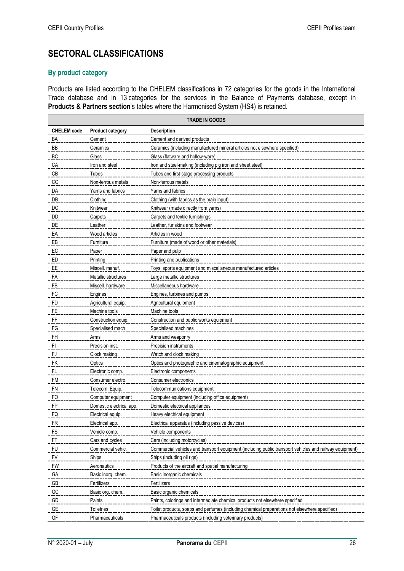# **SECTORAL CLASSIFICATIONS**

#### **By product category**

Products are listed according to the CHELEM classifications in 72 categories for the goods in the International Trade database and in 13 categories for the services in the Balance of Payments database, except in **Products & Partners section**'s tables where the Harmonised System (HS4) is retained.

|                    | <b>TRADE IN GOODS</b>    |                                                                                                         |  |
|--------------------|--------------------------|---------------------------------------------------------------------------------------------------------|--|
| <b>CHELEM</b> code | <b>Product category</b>  | <b>Description</b>                                                                                      |  |
| ΒA                 | Cement                   | Cement and derived products                                                                             |  |
| BB                 | Ceramics                 | Ceramics (including manufactured mineral articles not elsewhere specified)                              |  |
| ВC                 | Glass                    | Glass (flatware and hollow-ware)                                                                        |  |
| CA                 | Iron and steel           | Iron and steel-making (including pig iron and sheet steel)                                              |  |
| CВ                 | Tubes                    | Tubes and first-stage processing products                                                               |  |
| CС                 | Non-ferrous metals       | Non-ferrous metals                                                                                      |  |
| DA                 | Yarns and fabrics        | Yams and fabrics                                                                                        |  |
| DB                 | Clothing                 | Clothing (with fabrics as the main input)                                                               |  |
| DC                 | Knitwear                 | Knitwear (made directly from yarns)                                                                     |  |
| DD                 | Carpets                  | Carpets and textile furnishings                                                                         |  |
| $\mathsf{DE}$      | Leather                  | Leather, fur skins and footwear                                                                         |  |
| EA                 | Wood articles            | Articles in wood                                                                                        |  |
| EВ                 | Furniture                | Furniture (made of wood or other materials)                                                             |  |
| EC                 | Paper                    | Paper and pulp                                                                                          |  |
| ED                 | Printing                 | <b>Printing and publications</b>                                                                        |  |
| EE                 | Miscell. manuf.          | Toys, sports equipment and miscellaneous manufactured articles                                          |  |
| FA                 | Metallic structures      | Large metallic structures                                                                               |  |
| FB                 | Miscell. hardware        | Miscellaneous hardware                                                                                  |  |
| FC                 | Engines                  | Engines, turbines and pumps                                                                             |  |
| <b>FD</b>          | Agricultural equip.      | Agricultural equipment                                                                                  |  |
| FE                 | Machine tools            | Machine tools                                                                                           |  |
| FF                 | Construction equip.      | Construction and public works equipment                                                                 |  |
| FG                 | Specialised mach.        | Specialised machines                                                                                    |  |
| <b>FH</b>          | Arms                     | Arms and weaponry                                                                                       |  |
| FI                 | Precision inst.          | Precision instruments                                                                                   |  |
| FJ                 | Clock making             | Watch and clock making                                                                                  |  |
| FK                 | Optics                   | Optics and photographic and cinematographic equipment                                                   |  |
| <u>FL</u>          | Electronic comp.         | Electronic components                                                                                   |  |
| <b>FM</b>          | Consumer electro.        | Consumer electronics                                                                                    |  |
| FN                 | Telecom. Equip.          | Telecommunications equipment                                                                            |  |
| FO                 | Computer equipment       | Computer equipment (including office equipment)                                                         |  |
| FP                 | Domestic electrical app. | Domestic electrical appliances                                                                          |  |
| FQ                 | Electrical equip.        | Heavy electrical equipment                                                                              |  |
| FR                 | Electrical app.          | Electrical apparatus (including passive devices)                                                        |  |
| ${\sf FS}$         | Vehicle comp.            | Vehicle components                                                                                      |  |
| ${\sf FT}$         | Cars and cycles          | Cars (including motorcycles)                                                                            |  |
| <b>FU</b>          | Commercial vehic.        | Commercial vehicles and transport equipment (including public transport vehicles and railway equipment) |  |
| FV                 | Ships                    | Ships (including oil rigs)                                                                              |  |
| <b>FW</b>          | Aeronautics              | Products of the aircraft and spatial manufacturing                                                      |  |
| _GA                | Basic inorg. chem.       | Basic inorganic chemicals                                                                               |  |
| GB                 | Fertilizers              | Fertilizers                                                                                             |  |
| ${\sf GC}$         | Basic org. chem          | Basic organic chemicals                                                                                 |  |
| GD                 | Paints                   | Paints, colorings and intermediate chemical products not elsewhere specified                            |  |
| GE                 | Toiletries               | Toilet products, soaps and perfumes (including chemical preparations not elsewhere specified)           |  |
| GF                 | Pharmaceuticals          | Pharmaceuticals products (including veterinary products)                                                |  |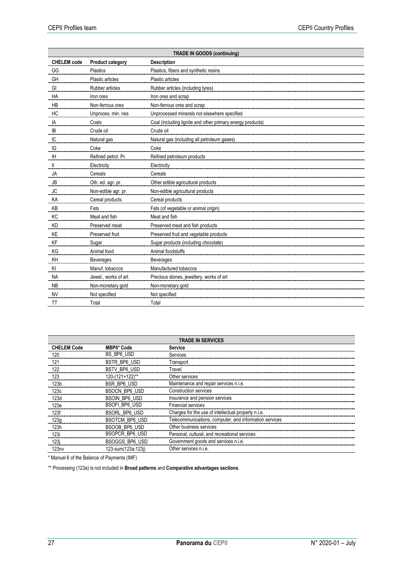| <b>TRADE IN GOODS (continuing)</b> |                         |                                                            |
|------------------------------------|-------------------------|------------------------------------------------------------|
| <b>CHELEM</b> code                 | <b>Product category</b> | <b>Description</b>                                         |
| GG                                 | Plastics                | Plastics, fibers and synthetic resins                      |
| GH                                 | Plastic articles        | Plastic articles                                           |
| GI                                 | Rubber articles         | Rubber articles (including tyres)                          |
| HA                                 | Iron ores               | Iron ores and scrap                                        |
| <b>HB</b>                          | Non-ferrous ores        | Non-ferrous ores and scrap                                 |
| HC                                 | Unproces. min. nes      | Unprocessed minerals not elsewhere specified               |
| IA                                 | Coals                   | Coal (including lignite and other primary energy products) |
| IB                                 | Crude oil               | Crude oil                                                  |
| IC                                 | Natural gas             | Natural gas (including all petroleum gases)                |
| IG                                 | Coke                    | Coke                                                       |
| IH                                 | Refined petrol. Pr.     | Refined petroleum products                                 |
| Ш                                  | Electricity             | Electricity                                                |
| JA                                 | Cereals                 | Cereals                                                    |
| <b>JB</b>                          | Oth. ed. agr. pr.       | Other edible agricultural products                         |
| JC                                 | Non-edible agr. pr.     | Non-edible agricultural products                           |
| KA                                 | Cereal products         | Cereal products                                            |
| KB                                 | Fats                    | Fats (of vegetable or animal origin)                       |
| KC                                 | Meat and fish           | Meat and fish                                              |
| KD                                 | Preserved meat          | Preserved meat and fish products                           |
| KE                                 | Preserved fruit         | Preserved fruit and vegetable products                     |
| KF                                 | Sugar                   | Sugar products (including chocolate)                       |
| KG                                 | Animal food             | Animal foodstuffs                                          |
| KH                                 | Beverages               | <b>Beverages</b>                                           |
| KI                                 | Manuf. tobaccos         | Manufactured tobaccos                                      |
| <b>NA</b>                          | Jewel., works of art    | Precious stones, jewellery, works of art                   |
| <b>NB</b>                          | Non-monetary gold       | Non-monetary gold                                          |
| <b>NV</b>                          | Not specified           | Not specified                                              |
| <b>TT</b>                          | Total                   | Total                                                      |

| <b>TRADE IN SERVICES</b> |                       |                                                        |
|--------------------------|-----------------------|--------------------------------------------------------|
| <b>CHELEM Code</b>       | <b>MBP6* Code</b>     | <b>Service</b>                                         |
| 120                      | BS BP6 USD            | Services                                               |
| 121                      | <b>BSTR BP6 USD</b>   | Transport                                              |
| 122                      | <b>BSTV BP6 USD</b>   | Travel                                                 |
| 123                      | 120-(121+122)**       | Other services                                         |
| 123b                     | <b>BSR BP6 USD</b>    | Maintenance and repair services n.i.e.                 |
| 123c                     | <b>BSOCN BP6 USD</b>  | Construction services                                  |
| 123d                     | <b>BSOIN BP6 USD</b>  | Insurance and pension services                         |
| 123e                     | <b>BSOFI BP6 USD</b>  | <b>Financial services</b>                              |
| 123f                     | <b>BSORL BP6 USD</b>  | Charges for the use of intellectual property n.i.e.    |
| 123g                     | <b>BSOTCM BP6 USD</b> | Telecommunications, computer, and information services |
| 123h                     | BSOOB BP6 USD         | Other business services                                |
| 123i                     | <b>BSOPCR BP6 USD</b> | Personal, cultural, and recreational services          |
| 123i                     | <b>BSOGGS BP6 USD</b> | Government goods and services n.i.e.                   |
| 123nv                    | 123-sum(123a:123i)    | Other services n.i.e.                                  |

\* Manuel 6 of the Balance of Payments (IMF)

\*\* Processing (123a) is not included in **Broad patterns** and **Comparative advantages sections**.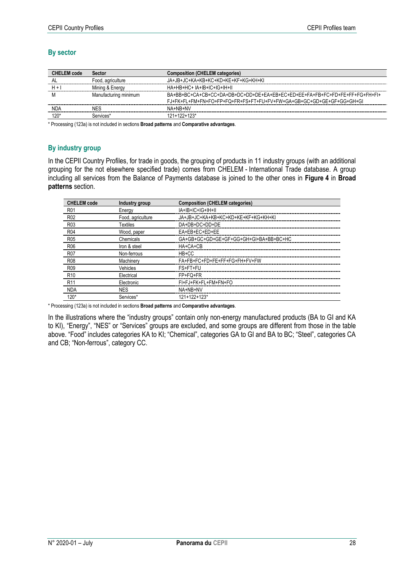#### **By sector**

| <b>CHELEM</b> code | Sector                | <b>Composition (CHELEM categories)</b>                                                                                                              |
|--------------------|-----------------------|-----------------------------------------------------------------------------------------------------------------------------------------------------|
|                    | Food, agriculture     | JA+JB+JC+KA+KB+KC+KD+KE+KF+KG+KH+KI                                                                                                                 |
|                    | Mining & Energy       | HA+HB+HC+ IA+IB+IC+IG+IH+II                                                                                                                         |
|                    | Manufacturing minimum | BA+BB+BC+CA+CB+CC+DA+DB+DC+DD+DF+EA+EB+EC+ED+EE+EA+EB+EC+ED+EE+EE+EG+EH+EI+<br>FJ+EK+FL+FM+FN+FO+FP+FQ+FR+FS+FT+FU+FV+FW+GA+GB+GC+GD+GF+GF+GG+GH+GL |
| NDA                | NFS                   | NA+NR+NV                                                                                                                                            |
| 120'               | Services*             | $121+122+123*$                                                                                                                                      |

\* Processing (123a) is not included in sections **Broad patterns** and **Comparative advantages**.

#### **By industry group**

In the CEPII Country Profiles, for trade in goods, the grouping of products in 11 industry groups (with an additional grouping for the not elsewhere specified trade) comes from CHELEM - International Trade database. A group including all services from the Balance of Payments database is joined to the other ones in **Figure 4** in **Broad patterns** section.

| <b>CHELEM</b> code | Industry group    | <b>Composition (CHELEM categories)</b> |
|--------------------|-------------------|----------------------------------------|
| R <sub>01</sub>    | Energy            | $IA+IB+IC+IG+IH+II$                    |
| R <sub>02</sub>    | Food, agriculture | JA+JB+JC+KA+KB+KC+KD+KE+KF+KG+KH+KI    |
| R <sub>0</sub> 3   | Textiles          | DA+DB+DC+DD+DE                         |
| R04                | Wood, paper       | EA+EB+EC+ED+EE                         |
| <b>R05</b>         | Chemicals         | GA+GB+GC+GD+GE+GF+GG+GH+GI+BA+BB+BC+HC |
| R <sub>06</sub>    | Iron & steel      | HA+CA+CB                               |
| <b>R07</b>         | Non-ferrous       | HB+CC                                  |
| <b>R08</b>         | Machinery         | FA+FB+FC+FD+FE+FF+FG+FH+FV+FW          |
| <b>R09</b>         | Vehicles          | FS+FT+FU                               |
| R <sub>10</sub>    | Electrical        | $FP+FO+FR$                             |
| R <sub>11</sub>    | Electronic        | FI+FJ+FK+FL+FM+FN+FO                   |
| <b>NDA</b>         | <b>NES</b>        | NA+NB+NV                               |
| $120*$             | Services*         | $121+122+123*$                         |

\* Processing (123a) is not included in sections **Broad patterns** and **Comparative advantages**.

In the illustrations where the "industry groups" contain only non-energy manufactured products (BA to GI and KA to KI), "Energy", "NES" or "Services" groups are excluded, and some groups are different from those in the table above. "Food" includes categories KA to KI; "Chemical", categories GA to GI and BA to BC; "Steel", categories CA and CB; "Non-ferrous", category CC.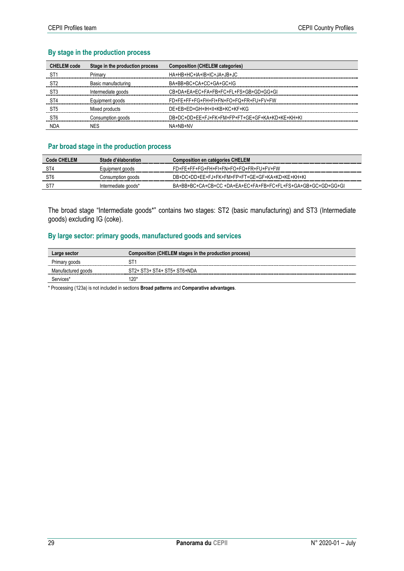#### **By stage in the production process**

| <b>CHELEM</b> code | Stage in the production process | <b>Composition (CHELEM categories)</b>          |
|--------------------|---------------------------------|-------------------------------------------------|
| ST <sub>1</sub>    | Primary                         | HA+HB+HC+IA+IB+IC+JA+JB+JC                      |
| ST <sub>2</sub>    | Basic manufacturing             | BA+BB+BC+CA+CC+GA+GC+IG                         |
| S <sub>T</sub> 3   | Intermediate goods              | CB+DA+EA+EC+EA+EB+EC+EL+ES+GB+GD+GG+GL          |
| ST <sub>4</sub>    | Equipment goods                 | FD+FE+FF+FG+FH+FI+FN+FO+FQ+FR+FU+FV+FW          |
| ST <sub>5</sub>    | Mixed products                  | DE+EB+ED+GH+IH+II+KB+KC+KF+KG                   |
| ST <sub>6</sub>    | Consumption goods               | DB+DC+DD+FF+FJ+FK+FM+FP+FT+GF+GF+KA+KD+KF+KH+KI |
| <b>NDA</b>         | <b>NES</b>                      | NA+NR+NV                                        |

#### **Par broad stage in the production process**

| Code CHELEM | Stade d'élaboration | <b>Composition en catégories CHELEM</b>                      |
|-------------|---------------------|--------------------------------------------------------------|
|             | Equipment goods     | FD+FE+FF+FG+FH+FI+FN+FO+FQ+FR+FU+FV+FW                       |
|             | Consumption goods   | DB+DC+DD+EE+FJ+FK+FM+FP+FT+GE+GF+KA+KD+KE+KH+KI              |
|             | Intermediate goods* | BA+BB+BC+CA+CB+CC +DA+EA+EC+FA+FB+FC+FL+FS+GA+GB+GC+GD+GG+GI |

The broad stage "Intermediate goods\*" contains two stages: ST2 (basic manufacturing) and ST3 (Intermediate goods) excluding IG (coke).

### **By large sector: primary goods, manufactured goods and services**

| Large sector       | Composition (CHELEM stages in the production process) |
|--------------------|-------------------------------------------------------|
| Primary goods      |                                                       |
| Manufactured goods | ST2+ ST3+ ST4+ ST5+ ST6+NDA                           |
| Services*          | 20                                                    |

\* Processing (123a) is not included in sections **Broad patterns** and **Comparative advantages**.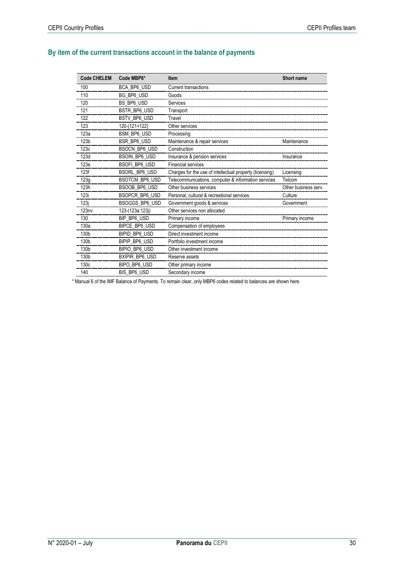# **By item of the current transactions account in the balance of payments**

| <b>Code CHELEM</b> | Code MBP6*           | <b>Item</b>                                              | Short name           |
|--------------------|----------------------|----------------------------------------------------------|----------------------|
| 100                | BCA BP6 USD          | Current transactions                                     |                      |
| 110                | BG BP6 USD           | Goods                                                    |                      |
| 120                | BS_BP6_USD           | Services                                                 |                      |
| 121                | <b>BSTR BP6 USD</b>  | Transport                                                |                      |
| 122                | BSTV BP6 USD         | Travel                                                   |                      |
| 123                | 120-(121+122)        | Other services                                           |                      |
| 123a               | <b>BSM BP6 USD</b>   | Processing                                               |                      |
| 123 <sub>b</sub>   | BSR BP6 USD          | Maintenance & repair services                            | Maintenance          |
| 123c               | <b>BSOCN BP6 USD</b> | Construction                                             |                      |
| 123d               | <b>BSOIN BP6 USD</b> | Insurance & pension services                             | Insurance            |
| 123e               | <b>BSOFI BP6 USD</b> | <b>Financial services</b>                                |                      |
| 123f               | BSORL_BP6_USD        | Charges for the use of intellectual property (licensing) | Licensing            |
| 123g               | BSOTCM_BP6_USD       | Telecommunications, computer & information services      | Telcom               |
| 123h               | BSOOB BP6 USD        | Other business services                                  | Other business serv. |
| 123i               | BSOPCR BP6 USD       | Personal, cultural & recreational services               | Culture              |
| 123j               | BSOGGS_BP6_USD       | Government goods & services                              | Government           |
| 123nv              | 123-(123a:123j)      | Other services non allocated                             |                      |
| 130                | BIP BP6 USD          | Primary income                                           | Primary income       |
| 130a               | BIPCE_BP6_USD        | Compensation of employees                                |                      |
| 130b               | BIPID BP6 USD        | Direct investment income                                 |                      |
| 130b               | BIPIP BP6 USD        | Portfolio investment income                              |                      |
| 130b               | BIPIO_BP6_USD        | Other investment income                                  |                      |
| 130b               | BXIPIR_BP6_USD       | Reserve assets                                           |                      |
| 130c               | BIPO BP6 USD         | Other primary income                                     |                      |
| 140                | BIS BP6 USD          | Secondary income                                         |                      |

\* Manual 6 of the IMF Balance of Payments. To remain clear, only MBP6 codes related to balances are shown here.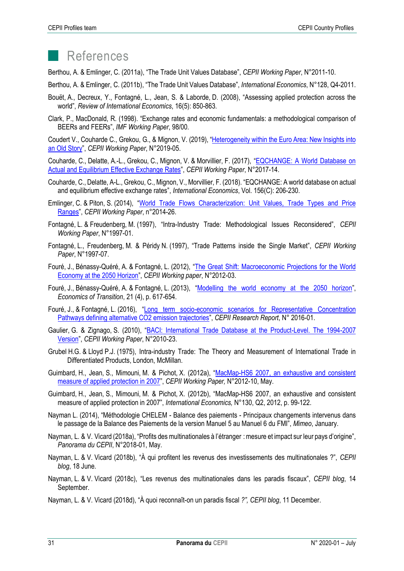# References

Berthou, A. & Emlinger, C. (2011a), "The Trade Unit Values Database", *CEPII Working Paper*, N°2011-10.

Berthou, A. & Emlinger, C. (2011b), "The Trade Unit Values Database", *International Economics*, N°128, Q4-2011.

- Bouët, A., Decreux, Y., Fontagné, L., Jean, S. & Laborde, D. (2008), "Assessing applied protection across the world", *Review of International Economics*, 16(5): 850-863.
- Clark, P., MacDonald, R. (1998). "Exchange rates and economic fundamentals: a methodological comparison of BEERs and FEERs", *IMF Working Paper*, 98/00.

Coudert V., Couharde C., Grekou, G., & Mignon, V. (2019), "[Heterogeneity within the Euro Area: New Insights into](http://www.cepii.fr/PDF_PUB/wp/2019/wp2019-05.pdf)  [an Old Story](http://www.cepii.fr/PDF_PUB/wp/2019/wp2019-05.pdf)", *CEPII Working Paper*, N°2019-05.

Couharde, C., Delatte, A.-L., Grekou, C., Mignon, V. & Morvillier, F. (2017), "[EQCHANGE: A World Database on](http://www.cepii.fr/PDF_PUB/wp/2017/wp2017-14.pdf)  [Actual and Equilibrium Effective Exchange Rates](http://www.cepii.fr/PDF_PUB/wp/2017/wp2017-14.pdf)", *CEPII Working Paper*, N°2017-14.

- Couharde, C., Delatte, A-L., Grekou, C., Mignon, V., Morvillier, F. (2018). "EQCHANGE: A world database on actual and equilibrium effective exchange rates", *International Economics*, Vol. 156(C): 206-230.
- Emlinger, C. & Piton, S. (2014), "[World Trade Flows Characterization: Unit Values, Trade Types and Price](http://www.cepii.fr/PDF_PUB/wp/2014/wp2014-26.pdf)  [Ranges](http://www.cepii.fr/PDF_PUB/wp/2014/wp2014-26.pdf)", *CEPII Working Paper*, n°2014-26.
- Fontagné, L. & Freudenberg, M. (1997), "Intra-Industry Trade: Methodological Issues Reconsidered", *CEPII Working Paper*, N°1997-01.
- Fontagné, L., Freudenberg, M. & Péridy N. (1997), "Trade Patterns inside the Single Market", *CEPII Working Paper*, N°1997-07.
- Fouré, J., Bénassy-Quéré, A. & Fontagné, L. (2012), "[The Great Shift: Macroeconomic Projections for the World](http://www.cepii.fr/CEPII/en/publications/wp/abstract.asp?NoDoc=4179)  [Economy at the 2050 Horizon](http://www.cepii.fr/CEPII/en/publications/wp/abstract.asp?NoDoc=4179)", *CEPII Working paper*, N°2012-03.
- Fouré, J., Bénassy-Quéré, A. & Fontagné, L. (2013), "[Modelling the world economy at the 2050 horizon](https://onlinelibrary.wiley.com/doi/abs/10.1111/ecot.12023)", *Economics of Transition*, 21 (4), p. 617-654.
- Fouré, J., & Fontagné, L. (2016), "[Long term socio-economic scenarios for Representative Concentration](http://www.cepii.fr/PDF_PUB/rr/rr2016_01.pdf)  [Pathways defining alternative CO2 emission trajectories](http://www.cepii.fr/PDF_PUB/rr/rr2016_01.pdf)", *CEPII Research Report*, N° 2016-01.
- Gaulier, G. & Zignago, S. (2010), "[BACI: International Trade Database at the Product-Level. The 1994-2007](file://///CEPII.PRIV/CEPII/GROUPES/ACI/Alix-Deniz/Profils%20Pays/Panorama/2019/Gaulier%20&%20Zignago,%202010)  [Version](file://///CEPII.PRIV/CEPII/GROUPES/ACI/Alix-Deniz/Profils%20Pays/Panorama/2019/Gaulier%20&%20Zignago,%202010)", *CEPII Working Paper*, N°2010-23.
- Grubel H.G. & Lloyd P.J. (1975), Intra-industry Trade: The Theory and Measurement of International Trade in Differentiated Products, London, McMillan.
- Guimbard, H., Jean, S., Mimouni, M. & Pichot, X. (2012a), "[MacMap-HS6 2007, an exhaustive and consistent](http://www.cepii.fr/PDF_PUB/wp/2012/wp2012-10.pdf)  [measure of applied protection in 2007](http://www.cepii.fr/PDF_PUB/wp/2012/wp2012-10.pdf)", *CEPII Working Paper,* N°2012-10, May.
- Guimbard, H., Jean, S., Mimouni, M. & Pichot, X. (2012b), "MacMap-HS6 2007, an exhaustive and consistent measure of applied protection in 2007", *International Economics,* N°130, Q2, 2012, p. 99-122.
- Nayman L. (2014), "Méthodologie CHELEM Balance des paiements Principaux changements intervenus dans le passage de la Balance des Paiements de la version Manuel 5 au Manuel 6 du FMI", *Mimeo*, January.
- Nayman, L. & V. Vicard (2018a), "Profits des multinationales à l'étranger : mesure et impact sur leur pays d'origine", *Panorama du CEPII*, N°2018-01, May.
- Nayman, L. & V. Vicard (2018b), "À qui profitent les revenus des investissements des multinationales ?", *CEPII blog*, 18 June.
- Nayman, L. & V. Vicard (2018c), "Les revenus des multinationales dans les paradis fiscaux", *CEPII blog*, 14 September.
- Nayman, L. & V. Vicard (2018d), "À quoi reconnaît-on un paradis fiscal *?", CEPII blog*, 11 December.